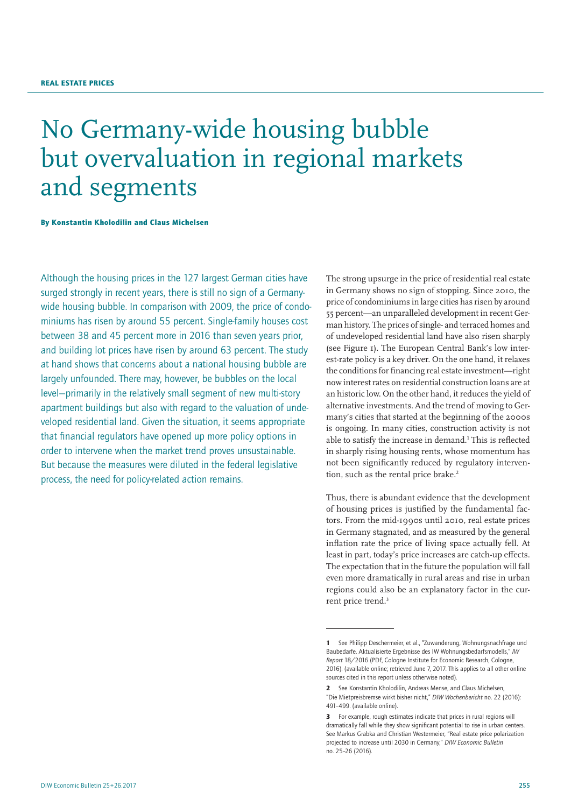# No Germany-wide housing bubble but overvaluation in regional markets and segments

By Konstantin Kholodilin and Claus Michelsen

Although the housing prices in the 127 largest German cities have surged strongly in recent years, there is still no sign of a Germanywide housing bubble. In comparison with 2009, the price of condominiums has risen by around 55 percent. Single-family houses cost between 38 and 45 percent more in 2016 than seven years prior, and building lot prices have risen by around 63 percent. The study at hand shows that concerns about a national housing bubble are largely unfounded. There may, however, be bubbles on the local level—primarily in the relatively small segment of new multi-story apartment buildings but also with regard to the valuation of undeveloped residential land. Given the situation, it seems appropriate that financial regulators have opened up more policy options in order to intervene when the market trend proves unsustainable. But because the measures were diluted in the federal legislative process, the need for policy-related action remains.

The strong upsurge in the price of residential real estate in Germany shows no sign of stopping. Since 2010, the price of condominiums in large cities has risen by around 55 percent—an unparalleled development in recent German history. The prices of single- and terraced homes and of undeveloped residential land have also risen sharply (see Figure 1). The European Central Bank's low interest-rate policy is a key driver. On the one hand, it relaxes the conditions for financing real estate investment—right now interest rates on residential construction loans are at an historic low. On the other hand, it reduces the yield of alternative investments. And the trend of moving to Germany's cities that started at the beginning of the 2000s is ongoing. In many cities, construction activity is not able to satisfy the increase in demand.<sup>1</sup> This is reflected in sharply rising housing rents, whose momentum has not been significantly reduced by regulatory intervention, such as the rental price brake.<sup>2</sup>

Thus, there is abundant evidence that the development of housing prices is justified by the fundamental factors. From the mid-1990s until 2010, real estate prices in Germany stagnated, and as measured by the general inflation rate the price of living space actually fell. At least in part, today's price increases are catch-up effects. The expectation that in the future the population will fall even more dramatically in rural areas and rise in urban regions could also be an explanatory factor in the current price trend.<sup>3</sup>

<sup>1</sup> See Philipp Deschermeier, et al., "Zuwanderung, Wohnungsnachfrage und Baubedarfe. Aktualisierte Ergebnisse des IW Wohnungsbedarfsmodells," *IW Report* 18/2016 (PDF, Cologne Institute for Economic Research, Cologne, 2016). ([available online](https://www.iwkoeln.de/en/_storage/asset/288747/storage/master/file/9778484/download/IW-Report_2016-18_Baubedarf.pdf); retrieved June 7, 2017. This applies to all other online sources cited in this report unless otherwise noted).

<sup>2</sup> See Konstantin Kholodilin, Andreas Mense, and Claus Michelsen, "Die Mietpreisbremse wirkt bisher nicht," *DIW Wochenbericht* no. 22 (2016): 491–499. (a[vailable online\)](https://www.diw.de/documents/publikationen/73/diw_01.c.535236.de/16-22-1.pdf).

<sup>3</sup> For example, rough estimates indicate that prices in rural regions will dramatically fall while they show significant potential to rise in urban centers. See Markus Grabka and Christian Westermeier, "Real estate price polarization projected to increase until 2030 in Germany," *DIW Economic Bulletin* no. 25–26 (2016).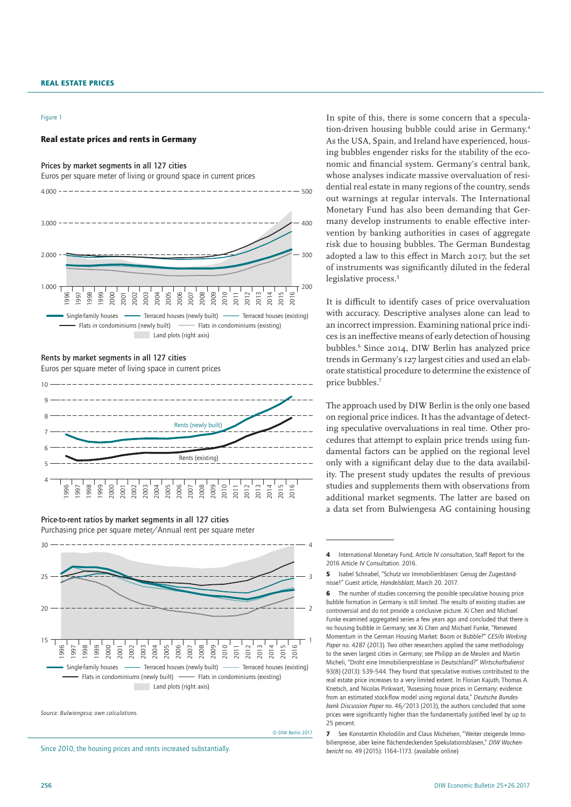#### Figure 1

#### Real estate prices and rents in Germany

Prices by market segments in all 127 cities Euros per square meter of living or ground space in current prices 4.000



#### Rents by market segments in all 127 cities

Euros per square meter of living space in current prices



#### Price-to-rent ratios by market segments in all 127 cities

Purchasing price per square meter/Annual rent per square meter



*Source: Bulwiengesa; own calculations.*

© DIW Berlin 2017

 $-500$ 

Since 2010, the housing prices and rents increased substantially.

In spite of this, there is some concern that a speculation-driven housing bubble could arise in Germany.4 As the USA, Spain, and Ireland have experienced, housing bubbles engender risks for the stability of the economic and financial system. Germany's central bank, whose analyses indicate massive overvaluation of residential real estate in many regions of the country, sends out warnings at regular intervals. The International Monetary Fund has also been demanding that Germany develop instruments to enable effective intervention by banking authorities in cases of aggregate risk due to housing bubbles. The German Bundestag adopted a law to this effect in March 2017, but the set of instruments was significantly diluted in the federal legislative process.<sup>5</sup>

It is difficult to identify cases of price overvaluation with accuracy. Descriptive analyses alone can lead to an incorrect impression. Examining national price indices is an ineffective means of early detection of housing bubbles.6 Since 2014, DIW Berlin has analyzed price trends in Germany's 127 largest cities and used an elaborate statistical procedure to determine the existence of price bubbles.7

The approach used by DIW Berlin is the only one based on regional price indices. It has the advantage of detecting speculative overvaluations in real time. Other procedures that attempt to explain price trends using fundamental factors can be applied on the regional level only with a significant delay due to the data availability. The present study updates the results of previous studies and supplements them with observations from additional market segments. The latter are based on a data set from Bulwiengesa AG containing housing

**6** The number of studies concerning the possible speculative housing price bubble formation in Germany is still limited. The results of existing studies are controversial and do not provide a conclusive picture. Xi Chen and Michael Funke examined aggregated series a few years ago and concluded that there is no housing bubble in Germany; see Xi Chen and Michael Funke, "Renewed Momentum in the German Housing Market: Boom or Bubble?" *CESifo Working Paper* no. 4287 (2013). Two other researchers applied the same methodology to the seven largest cities in Germany; see Philipp an de Meulen and Martin Micheli, "Droht eine Immobilienpreisblase in Deutschland?" *Wirtschaftsdienst* 93(8) (2013): 539–544. They found that speculative motives contributed to the real estate price increases to a very limited extent. In Florian Kajuth, Thomas A. Knetsch, and Nicolas Pinkwart, "Assessing house prices in Germany: evidence from an estimated stock-flow model using regional data," *Deutsche Bundesbank Discussion Paper* no. 46/2013 (2013), the authors concluded that some prices were significantly higher than the fundamentally justified level by up to 25 percent.

See Konstantin Kholodilin and Claus Michelsen, "Weiter steigende Immobilienpreise, aber keine flächendeckenden Spekulationsblasen," *DIW Wochenbericht* no. 49 (2015): 1164–1173. ([available online](https://www.diw.de/documents/publikationen/73/diw_01.c.521399.de/15-49-4.pdf))

<sup>4</sup> International Monetary Fund, Article IV consultation, Staff Report for the 2016 Article IV Consultation. 2016.

<sup>5</sup> Isabel Schnabel, "Schutz vor Immobilienblasen: Genug der Zugeständnisse!" Guest article, *Handelsblatt*, March 20. 2017.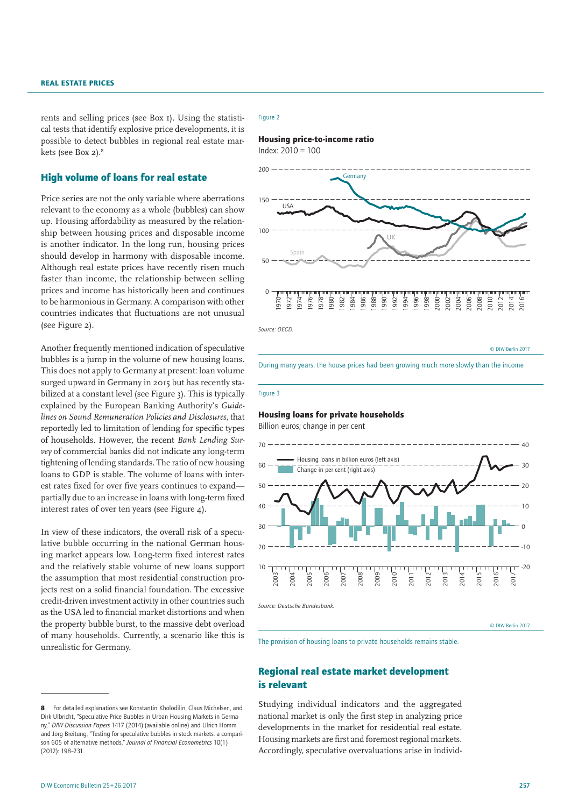rents and selling prices (see Box 1). Using the statistical tests that identify explosive price developments, it is possible to detect bubbles in regional real estate markets (see Box 2).8

# High volume of loans for real estate

Price series are not the only variable where aberrations relevant to the economy as a whole (bubbles) can show up. Housing affordability as measured by the relationship between housing prices and disposable income is another indicator. In the long run, housing prices should develop in harmony with disposable income. Although real estate prices have recently risen much faster than income, the relationship between selling prices and income has historically been and continues to be harmonious in Germany. A comparison with other countries indicates that fluctuations are not unusual (see Figure 2).

Another frequently mentioned indication of speculative bubbles is a jump in the volume of new housing loans. This does not apply to Germany at present: loan volume surged upward in Germany in 2015 but has recently stabilized at a constant level (see Figure 3). This is typically explained by the European Banking Authority's *Guidelines on Sound Remuneration Policies and Disclosures*, that reportedly led to limitation of lending for specific types of households. However, the recent *Bank Lending Survey* of commercial banks did not indicate any long-term tightening of lending standards. The ratio of new housing loans to GDP is stable. The volume of loans with interest rates fixed for over five years continues to expand partially due to an increase in loans with long-term fixed interest rates of over ten years (see Figure 4).

In view of these indicators, the overall risk of a speculative bubble occurring in the national German housing market appears low. Long-term fixed interest rates and the relatively stable volume of new loans support the assumption that most residential construction projects rest on a solid financial foundation. The excessive credit-driven investment activity in other countries such as the USA led to financial market distortions and when the property bubble burst, to the massive debt overload of many households. Currently, a scenario like this is unrealistic for Germany.

#### Figure 2



© DIW Berlin 2017

During many years, the house prices had been growing much more slowly than the income

## Figure 3

# Housing loans for private households

Billion euros; change in per cent



The provision of housing loans to private households remains stable.

# Regional real estate market development is relevant

Studying individual indicators and the aggregated national market is only the first step in analyzing price developments in the market for residential real estate. Housing markets are first and foremost regional markets. Accordingly, speculative overvaluations arise in individ-

<sup>8</sup> For detailed explanations see Konstantin Kholodilin, Claus Michelsen, and Dirk Ulbricht, "Speculative Price Bubbles in Urban Housing Markets in Germany," *DIW Discussion Papers* 1417 (2014) [\(available online](https://www.diw.de/documents/publikationen/73/diw_01.c.487920.de/dp1417.pdf)) and Ulrich Homm and Jörg Breitung, "Testing for speculative bubbles in stock markets: a comparison 605 of alternative methods," *Journal of Financial Econometrics* 10(1) (2012): 198–231.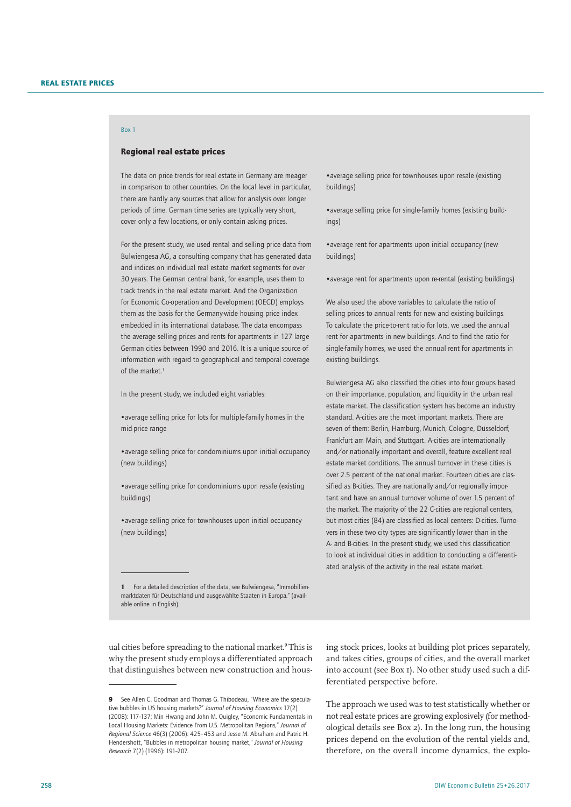# Box 1

## Regional real estate prices

The data on price trends for real estate in Germany are meager in comparison to other countries. On the local level in particular, there are hardly any sources that allow for analysis over longer periods of time. German time series are typically very short, cover only a few locations, or only contain asking prices.

For the present study, we used rental and selling price data from Bulwiengesa AG, a consulting company that has generated data and indices on individual real estate market segments for over 30 years. The German central bank, for example, uses them to track trends in the real estate market. And the Organization for Economic Co-operation and Development (OECD) employs them as the basis for the Germany-wide housing price index embedded in its international database. The data encompass the average selling prices and rents for apartments in 127 large German cities between 1990 and 2016. It is a unique source of information with regard to geographical and temporal coverage of the market.<sup>1</sup>

In the present study, we included eight variables:

•average selling price for lots for multiple-family homes in the mid-price range

•average selling price for condominiums upon initial occupancy (new buildings)

•average selling price for condominiums upon resale (existing buildings)

•average selling price for townhouses upon initial occupancy (new buildings)

1 For a detailed description of the data, see Bulwiengesa, "Immobilienmarktdaten für Deutschland und ausgewählte Staaten in Europa." ([avail](http://www.riwis.de/)[able online in English\)](http://www.riwis.de/).

ual cities before spreading to the national market.9 This is why the present study employs a differentiated approach that distinguishes between new construction and hous-

•average selling price for townhouses upon resale (existing buildings)

•average selling price for single-family homes (existing buildings)

•average rent for apartments upon initial occupancy (new buildings)

•average rent for apartments upon re-rental (existing buildings)

We also used the above variables to calculate the ratio of selling prices to annual rents for new and existing buildings. To calculate the price-to-rent ratio for lots, we used the annual rent for apartments in new buildings. And to find the ratio for single-family homes, we used the annual rent for apartments in existing buildings.

Bulwiengesa AG also classified the cities into four groups based on their importance, population, and liquidity in the urban real estate market. The classification system has become an industry standard. A-cities are the most important markets. There are seven of them: Berlin, Hamburg, Munich, Cologne, Düsseldorf, Frankfurt am Main, and Stuttgart. A-cities are internationally and/or nationally important and overall, feature excellent real estate market conditions. The annual turnover in these cities is over 2.5 percent of the national market. Fourteen cities are classified as B-cities. They are nationally and/or regionally important and have an annual turnover volume of over 1.5 percent of the market. The majority of the 22 C-cities are regional centers, but most cities (84) are classified as local centers: D-cities. Turnovers in these two city types are significantly lower than in the A- and B-cities. In the present study, we used this classification to look at individual cities in addition to conducting a differentiated analysis of the activity in the real estate market.

ing stock prices, looks at building plot prices separately, and takes cities, groups of cities, and the overall market into account (see Box 1). No other study used such a differentiated perspective before.

The approach we used was to test statistically whether or not real estate prices are growing explosively (for methodological details see Box 2). In the long run, the housing prices depend on the evolution of the rental yields and, therefore, on the overall income dynamics, the explo-

<sup>9</sup> See Allen C. Goodman and Thomas G. Thibodeau, "Where are the speculative bubbles in US housing markets?" *Journal of Housing Economics* 17(2) (2008): 117–137; Min Hwang and John M. Quigley, "Economic Fundamentals in Local Housing Markets: Evidence From U.S. Metropolitan Regions," *Journal of Regional Science* 46(3) (2006): 425–453 and Jesse M. Abraham and Patric H. Hendershott, "Bubbles in metropolitan housing market," *Journal of Housing Research* 7(2) (1996): 191–207.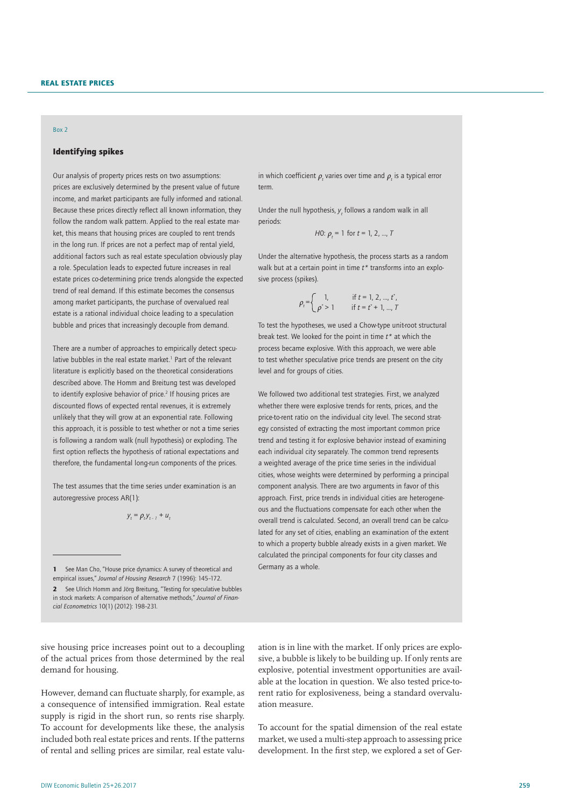## Box 2

# Identifying spikes

Our analysis of property prices rests on two assumptions: prices are exclusively determined by the present value of future income, and market participants are fully informed and rational. Because these prices directly reflect all known information, they follow the random walk pattern. Applied to the real estate market, this means that housing prices are coupled to rent trends in the long run. If prices are not a perfect map of rental yield, additional factors such as real estate speculation obviously play a role. Speculation leads to expected future increases in real estate prices co-determining price trends alongside the expected trend of real demand. If this estimate becomes the consensus among market participants, the purchase of overvalued real estate is a rational individual choice leading to a speculation bubble and prices that increasingly decouple from demand.

There are a number of approaches to empirically detect speculative bubbles in the real estate market.<sup>1</sup> Part of the relevant literature is explicitly based on the theoretical considerations described above. The Homm and Breitung test was developed to identify explosive behavior of price.<sup>2</sup> If housing prices are discounted flows of expected rental revenues, it is extremely unlikely that they will grow at an exponential rate. Following this approach, it is possible to test whether or not a time series is following a random walk (null hypothesis) or exploding. The first option reflects the hypothesis of rational expectations and therefore, the fundamental long-run components of the prices.

The test assumes that the time series under examination is an autoregressive process AR(1):

$$
y_t = \rho_t y_{t-1} + u_t
$$

2 See Ulrich Homm and Jörg Breitung, "Testing for speculative bubbles in stock markets: A comparison of alternative methods," *Journal of Financial Econometrics* 10(1) (2012): 198–231.

sive housing price increases point out to a decoupling of the actual prices from those determined by the real demand for housing.

However, demand can fluctuate sharply, for example, as a consequence of intensified immigration. Real estate supply is rigid in the short run, so rents rise sharply. To account for developments like these, the analysis included both real estate prices and rents. If the patterns of rental and selling prices are similar, real estate valu-

in which coefficient  $\rho_{_t}$  varies over time and  $\rho_{_t}$  is a typical error term.

Under the null hypothesis,  $y_t$  follows a random walk in all periods:

*H*0: 
$$
\rho_t
$$
 = 1 for  $t$  = 1, 2, ...,  $T$ 

Under the alternative hypothesis, the process starts as a random walk but at a certain point in time *t\** transforms into an explosive process (spikes).

$$
\rho_t = \begin{cases} 1, & \text{if } t = 1, 2, ..., t^*, \\ \rho^* > 1 \end{cases}
$$

To test the hypotheses, we used a Chow-type unit-root structural break test. We looked for the point in time *t\** at which the process became explosive. With this approach, we were able to test whether speculative price trends are present on the city level and for groups of cities.

We followed two additional test strategies. First, we analyzed whether there were explosive trends for rents, prices, and the price-to-rent ratio on the individual city level. The second strategy consisted of extracting the most important common price trend and testing it for explosive behavior instead of examining each individual city separately. The common trend represents a weighted average of the price time series in the individual cities, whose weights were determined by performing a principal component analysis. There are two arguments in favor of this approach. First, price trends in individual cities are heterogeneous and the fluctuations compensate for each other when the overall trend is calculated. Second, an overall trend can be calculated for any set of cities, enabling an examination of the extent to which a property bubble already exists in a given market. We calculated the principal components for four city classes and Germany as a whole.

ation is in line with the market. If only prices are explosive, a bubble is likely to be building up. If only rents are explosive, potential investment opportunities are available at the location in question. We also tested price-torent ratio for explosiveness, being a standard overvaluation measure.

To account for the spatial dimension of the real estate market, we used a multi-step approach to assessing price development. In the first step, we explored a set of Ger-

<sup>1</sup> See Man Cho, "House price dynamics: A survey of theoretical and empirical issues," *Journal of Housing Research* 7 (1996): 145–172.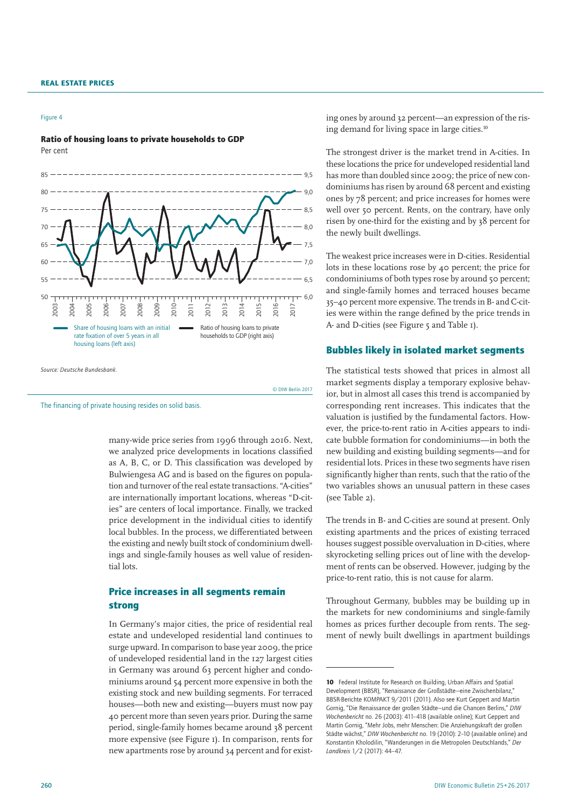#### Figure 4

## Ratio of housing loans to private households to GDP Per cent



many-wide price series from 1996 through 2016. Next, we analyzed price developments in locations classified as A, B, C, or D. This classification was developed by Bulwiengesa AG and is based on the figures on population and turnover of the real estate transactions. "A-cities" are internationally important locations, whereas "D-cities" are centers of local importance. Finally, we tracked price development in the individual cities to identify local bubbles. In the process, we differentiated between the existing and newly built stock of condominium dwellings and single-family houses as well value of residential lots.

© DIW Berlin 2017

# Price increases in all segments remain strong

In Germany's major cities, the price of residential real estate and undeveloped residential land continues to surge upward. In comparison to base year 2009, the price of undeveloped residential land in the 127 largest cities in Germany was around 63 percent higher and condominiums around 54 percent more expensive in both the existing stock and new building segments. For terraced houses—both new and existing—buyers must now pay 40 percent more than seven years prior. During the same period, single-family homes became around 38 percent more expensive (see Figure 1). In comparison, rents for new apartments rose by around 34 percent and for existing ones by around 32 percent—an expression of the rising demand for living space in large cities.<sup>10</sup>

The strongest driver is the market trend in A-cities. In these locations the price for undeveloped residential land has more than doubled since 2009; the price of new condominiums has risen by around 68 percent and existing ones by 78 percent; and price increases for homes were well over 50 percent. Rents, on the contrary, have only risen by one-third for the existing and by 38 percent for the newly built dwellings.

The weakest price increases were in D-cities. Residential lots in these locations rose by 40 percent; the price for condominiums of both types rose by around 50 percent; and single-family homes and terraced houses became 35–40 percent more expensive. The trends in B- and C-cities were within the range defined by the price trends in A- and D-cities (see Figure 5 and Table 1).

## Bubbles likely in isolated market segments

The statistical tests showed that prices in almost all market segments display a temporary explosive behavior, but in almost all cases this trend is accompanied by corresponding rent increases. This indicates that the valuation is justified by the fundamental factors. However, the price-to-rent ratio in A-cities appears to indicate bubble formation for condominiums—in both the new building and existing building segments—and for residential lots. Prices in these two segments have risen significantly higher than rents, such that the ratio of the two variables shows an unusual pattern in these cases (see Table 2).

The trends in B- and C-cities are sound at present. Only existing apartments and the prices of existing terraced houses suggest possible overvaluation in D-cities, where skyrocketing selling prices out of line with the development of rents can be observed. However, judging by the price-to-rent ratio, this is not cause for alarm.

Throughout Germany, bubbles may be building up in the markets for new condominiums and single-family homes as prices further decouple from rents. The segment of newly built dwellings in apartment buildings

The financing of private housing resides on solid basis.

<sup>10</sup> Federal Institute for Research on Building, Urban Affairs and Spatial Development (BBSR), "Renaissance der Großstädte—eine Zwischenbilanz," BBSR-Berichte KOMPAKT 9/2011 (2011). Also see Kurt Geppert and Martin Gornig, "Die Renaissance der großen Städte—und die Chancen Berlins," *DIW Wochenbericht* no. 26 (2003): 411–418 ([available online](https://www.diw.de/documents/publikationen/73/diw_01.c.92516.de/03-26-1.pdf)); Kurt Geppert and Martin Gornig, "Mehr Jobs, mehr Menschen: Die Anziehungskraft der großen Städte wächst," *DIW Wochenbericht* no. 19 (2010): 2–10 ([available online](https://www.diw.de/documents/publikationen/73/diw_01.c.356612.de/10-19-1.pdf)) and Konstantin Kholodilin, "Wanderungen in die Metropolen Deutschlands," *Der Landkreis* 1/2 (2017): 44–47.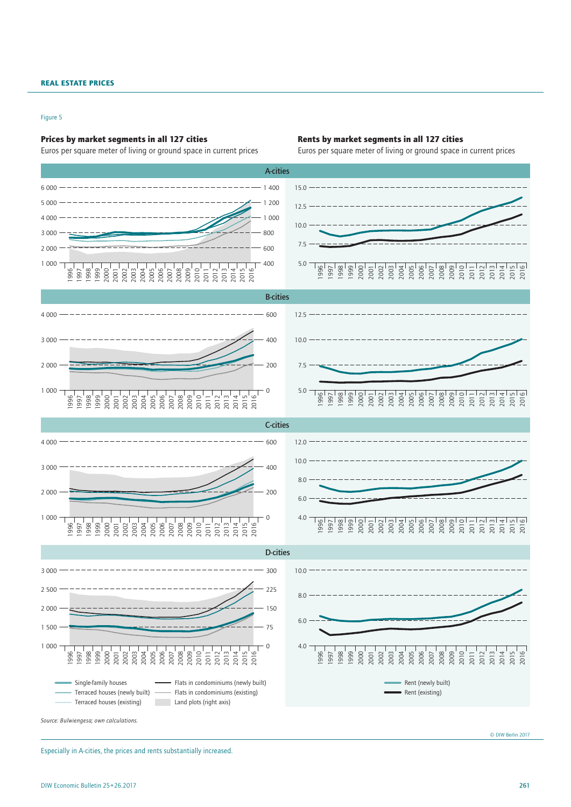## Figure 5

## Prices by market segments in all 127 cities Rents by market segments in all 127 cities



Euros per square meter of living or ground space in current prices Euros per square meter of living or ground space in current prices



© DIW Berlin 2017

Especially in A-cities, the prices and rents substantially increased.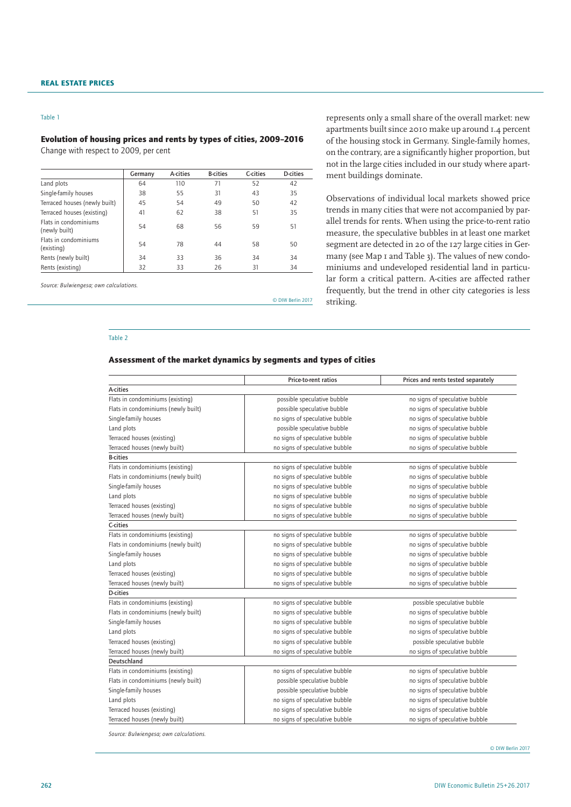#### Table 1

# Evolution of housing prices and rents by types of cities, 2009–2016

Change with respect to 2009, per cent

|    | A-cities | <b>B-cities</b> | C-cities | D-cities |
|----|----------|-----------------|----------|----------|
| 64 | 110      | 71              | 52       | 42       |
| 38 | 55       | 31              | 43       | 35       |
| 45 | 54       | 49              | 50       | 42       |
| 41 | 62       | 38              | 51       | 35       |
| 54 | 68       | 56              | 59       | 51       |
| 54 | 78       | 44              | 58       | 50       |
| 34 | 33       | 36              | 34       | 34       |
| 32 | 33       | 26              | 31       | 34       |
|    |          |                 |          |          |

*Source: Bulwiengesa; own calculations.*

© DIW Berlin 2017

# represents only a small share of the overall market: new apartments built since 2010 make up around 1.4 percent of the housing stock in Germany. Single-family homes, on the contrary, are a significantly higher proportion, but not in the large cities included in our study where apartment buildings dominate.

Observations of individual local markets showed price trends in many cities that were not accompanied by parallel trends for rents. When using the price-to-rent ratio measure, the speculative bubbles in at least one market segment are detected in 20 of the 127 large cities in Germany (see Map 1 and Table 3). The values of new condominiums and undeveloped residential land in particular form a critical pattern. A-cities are affected rather frequently, but the trend in other city categories is less striking.

#### Table 2

## Assessment of the market dynamics by segments and types of cities

|                                     | Price-to-rent ratios           | Prices and rents tested separately |
|-------------------------------------|--------------------------------|------------------------------------|
| A-cities                            |                                |                                    |
| Flats in condominiums (existing)    | possible speculative bubble    | no signs of speculative bubble     |
| Flats in condominiums (newly built) | possible speculative bubble    | no signs of speculative bubble     |
| Single-family houses                | no signs of speculative bubble | no signs of speculative bubble     |
| Land plots                          | possible speculative bubble    | no signs of speculative bubble     |
| Terraced houses (existing)          | no signs of speculative bubble | no signs of speculative bubble     |
| Terraced houses (newly built)       | no signs of speculative bubble | no signs of speculative bubble     |
| <b>B-cities</b>                     |                                |                                    |
| Flats in condominiums (existing)    | no signs of speculative bubble | no signs of speculative bubble     |
| Flats in condominiums (newly built) | no signs of speculative bubble | no signs of speculative bubble     |
| Single-family houses                | no signs of speculative bubble | no signs of speculative bubble     |
| Land plots                          | no signs of speculative bubble | no signs of speculative bubble     |
| Terraced houses (existing)          | no signs of speculative bubble | no signs of speculative bubble     |
| Terraced houses (newly built)       | no signs of speculative bubble | no signs of speculative bubble     |
| C-cities                            |                                |                                    |
| Flats in condominiums (existing)    | no signs of speculative bubble | no signs of speculative bubble     |
| Flats in condominiums (newly built) | no signs of speculative bubble | no signs of speculative bubble     |
| Single-family houses                | no signs of speculative bubble | no signs of speculative bubble     |
| Land plots                          | no signs of speculative bubble | no signs of speculative bubble     |
| Terraced houses (existing)          | no signs of speculative bubble | no signs of speculative bubble     |
| Terraced houses (newly built)       | no signs of speculative bubble | no signs of speculative bubble     |
| <b>D-cities</b>                     |                                |                                    |
| Flats in condominiums (existing)    | no signs of speculative bubble | possible speculative bubble        |
| Flats in condominiums (newly built) | no signs of speculative bubble | no signs of speculative bubble     |
| Single-family houses                | no signs of speculative bubble | no signs of speculative bubble     |
| Land plots                          | no signs of speculative bubble | no signs of speculative bubble     |
| Terraced houses (existing)          | no signs of speculative bubble | possible speculative bubble        |
| Terraced houses (newly built)       | no signs of speculative bubble | no signs of speculative bubble     |
| Deutschland                         |                                |                                    |
| Flats in condominiums (existing)    | no signs of speculative bubble | no signs of speculative bubble     |
| Flats in condominiums (newly built) | possible speculative bubble    | no signs of speculative bubble     |
| Single-family houses                | possible speculative bubble    | no signs of speculative bubble     |
| Land plots                          | no signs of speculative bubble | no signs of speculative bubble     |
| Terraced houses (existing)          | no signs of speculative bubble | no signs of speculative bubble     |
| Terraced houses (newly built)       | no signs of speculative bubble | no signs of speculative bubble     |

*Source: Bulwiengesa; own calculations.*

© DIW Berlin 2017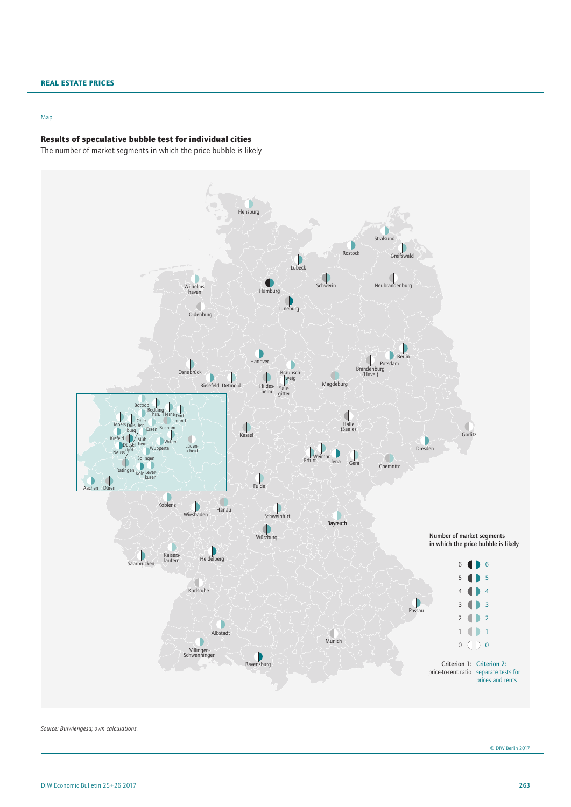#### Map

# Results of speculative bubble test for individual cities

The number of market segments in which the price bubble is likely



*Source: Bulwiengesa; own calculations.*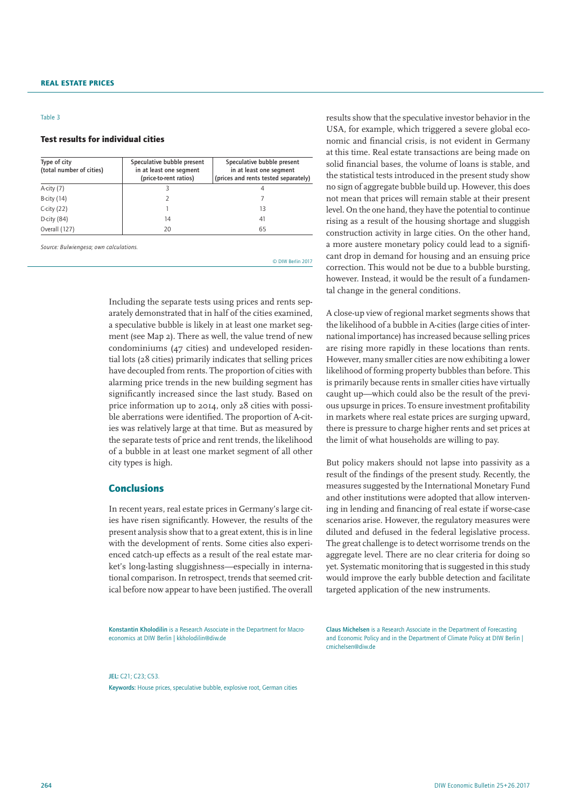#### Table 3

## Test results for individual cities

| Type of city<br>(total number of cities) | Speculative bubble present<br>in at least one segment<br>(price-to-rent ratios) | Speculative bubble present<br>in at least one segment<br>(prices and rents tested separately) |
|------------------------------------------|---------------------------------------------------------------------------------|-----------------------------------------------------------------------------------------------|
| A-city (7)                               |                                                                                 | 4                                                                                             |
| <b>B-city</b> (14)                       |                                                                                 |                                                                                               |
| C-city $(22)$                            |                                                                                 | 13                                                                                            |
| D-city (84)                              | 14                                                                              | 41                                                                                            |
| Overall (127)                            | 20                                                                              | 65                                                                                            |

*Source: Bulwiengesa; own calculations.*

© DIW Berlin 2017

Including the separate tests using prices and rents separately demonstrated that in half of the cities examined, a speculative bubble is likely in at least one market segment (see Map 2). There as well, the value trend of new condominiums (47 cities) and undeveloped residential lots (28 cities) primarily indicates that selling prices have decoupled from rents. The proportion of cities with alarming price trends in the new building segment has significantly increased since the last study. Based on price information up to 2014, only 28 cities with possible aberrations were identified. The proportion of A-cities was relatively large at that time. But as measured by the separate tests of price and rent trends, the likelihood of a bubble in at least one market segment of all other city types is high.

# Conclusions

In recent years, real estate prices in Germany's large cities have risen significantly. However, the results of the present analysis show that to a great extent, this is in line with the development of rents. Some cities also experienced catch-up effects as a result of the real estate market's long-lasting sluggishness—especially in international comparison. In retrospect, trends that seemed critical before now appear to have been justified. The overall

results show that the speculative investor behavior in the USA, for example, which triggered a severe global economic and financial crisis, is not evident in Germany at this time. Real estate transactions are being made on solid financial bases, the volume of loans is stable, and the statistical tests introduced in the present study show no sign of aggregate bubble build up. However, this does not mean that prices will remain stable at their present level. On the one hand, they have the potential to continue rising as a result of the housing shortage and sluggish construction activity in large cities. On the other hand, a more austere monetary policy could lead to a significant drop in demand for housing and an ensuing price correction. This would not be due to a bubble bursting, however. Instead, it would be the result of a fundamental change in the general conditions.

A close-up view of regional market segments shows that the likelihood of a bubble in A-cities (large cities of international importance) has increased because selling prices are rising more rapidly in these locations than rents. However, many smaller cities are now exhibiting a lower likelihood of forming property bubbles than before. This is primarily because rents in smaller cities have virtually caught up—which could also be the result of the previous upsurge in prices. To ensure investment profitability in markets where real estate prices are surging upward, there is pressure to charge higher rents and set prices at the limit of what households are willing to pay.

But policy makers should not lapse into passivity as a result of the findings of the present study. Recently, the measures suggested by the International Monetary Fund and other institutions were adopted that allow intervening in lending and financing of real estate if worse-case scenarios arise. However, the regulatory measures were diluted and defused in the federal legislative process. The great challenge is to detect worrisome trends on the aggregate level. There are no clear criteria for doing so yet. Systematic monitoring that is suggested in this study would improve the early bubble detection and facilitate targeted application of the new instruments.

Konstantin Kholodilin is a Research Associate in the Department for Macroeconomics at DIW Berlin | kkholodilin@diw.de

Claus Michelsen is a Research Associate in the Department of Forecasting and Economic Policy and in the Department of Climate Policy at DIW Berlin | cmichelsen@diw.de

JEL: C21; C23; C53. Keywords: House prices, speculative bubble, explosive root, German cities